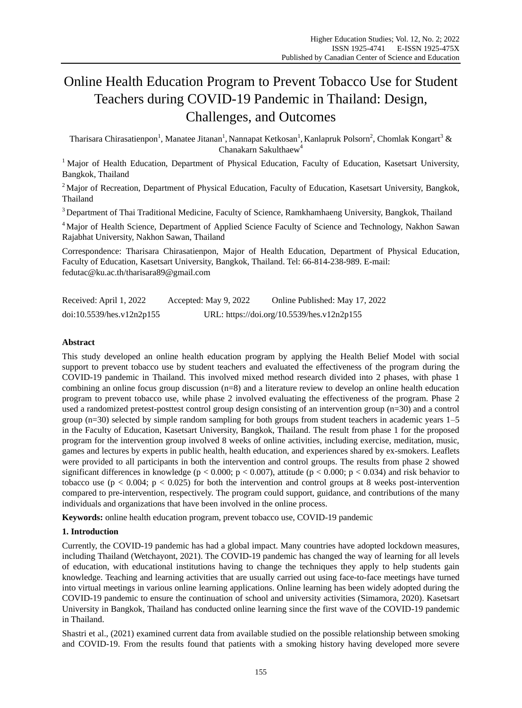# Online Health Education Program to Prevent Tobacco Use for Student Teachers during COVID-19 Pandemic in Thailand: Design, Challenges, and Outcomes

Tharisara Chirasatienpon<sup>1</sup>, Manatee Jitanan<sup>1</sup>, Nannapat Ketkosan<sup>1</sup>, Kanlapruk Polsorn<sup>2</sup>, Chomlak Kongart<sup>3</sup> & Chanakarn Sakulthaew<sup>4</sup>

<sup>1</sup> Major of Health Education, Department of Physical Education, Faculty of Education, Kasetsart University, Bangkok, Thailand

<sup>2</sup> Major of Recreation, Department of Physical Education, Faculty of Education, Kasetsart University, Bangkok, Thailand

<sup>3</sup> Department of Thai Traditional Medicine, Faculty of Science, Ramkhamhaeng University, Bangkok, Thailand

<sup>4</sup> Major of Health Science, Department of Applied Science Faculty of Science and Technology, Nakhon Sawan Rajabhat University, Nakhon Sawan, Thailand

Correspondence: Tharisara Chirasatienpon, Major of Health Education, Department of Physical Education, Faculty of Education, Kasetsart University, Bangkok, Thailand. Tel: 66-814-238-989. E-mail: fedutac@ku.ac.th/tharisara89@gmail.com

| Received: April 1, 2022   | Accepted: May 9, 2022 | Online Published: May 17, 2022             |
|---------------------------|-----------------------|--------------------------------------------|
| doi:10.5539/hes.v12n2p155 |                       | URL: https://doi.org/10.5539/hes.v12n2p155 |

# **Abstract**

This study developed an online health education program by applying the Health Belief Model with social support to prevent tobacco use by student teachers and evaluated the effectiveness of the program during the COVID-19 pandemic in Thailand. This involved mixed method research divided into 2 phases, with phase 1 combining an online focus group discussion (n=8) and a literature review to develop an online health education program to prevent tobacco use, while phase 2 involved evaluating the effectiveness of the program. Phase 2 used a randomized pretest-posttest control group design consisting of an intervention group (n=30) and a control group (n=30) selected by simple random sampling for both groups from student teachers in academic years 1–5 in the Faculty of Education, Kasetsart University, Bangkok, Thailand. The result from phase 1 for the proposed program for the intervention group involved 8 weeks of online activities, including exercise, meditation, music, games and lectures by experts in public health, health education, and experiences shared by ex-smokers. Leaflets were provided to all participants in both the intervention and control groups. The results from phase 2 showed significant differences in knowledge ( $p < 0.000$ ;  $p < 0.007$ ), attitude ( $p < 0.000$ ;  $p < 0.034$ ) and risk behavior to tobacco use ( $p < 0.004$ ;  $p < 0.025$ ) for both the intervention and control groups at 8 weeks post-intervention compared to pre-intervention, respectively. The program could support, guidance, and contributions of the many individuals and organizations that have been involved in the online process.

**Keywords:** online health education program, prevent tobacco use, COVID-19 pandemic

## **1. Introduction**

Currently, the COVID-19 pandemic has had a global impact. Many countries have adopted lockdown measures, including Thailand (Wetchayont, 2021). The COVID-19 pandemic has changed the way of learning for all levels of education, with educational institutions having to change the techniques they apply to help students gain knowledge. Teaching and learning activities that are usually carried out using face-to-face meetings have turned into virtual meetings in various online learning applications. Online learning has been widely adopted during the COVID-19 pandemic to ensure the continuation of school and university activities (Simamora, 2020). Kasetsart University in Bangkok, Thailand has conducted online learning since the first wave of the COVID-19 pandemic in Thailand.

Shastri et al., (2021) examined current data from available studied on the possible relationship between smoking and COVID-19. From the results found that patients with a smoking history having developed more severe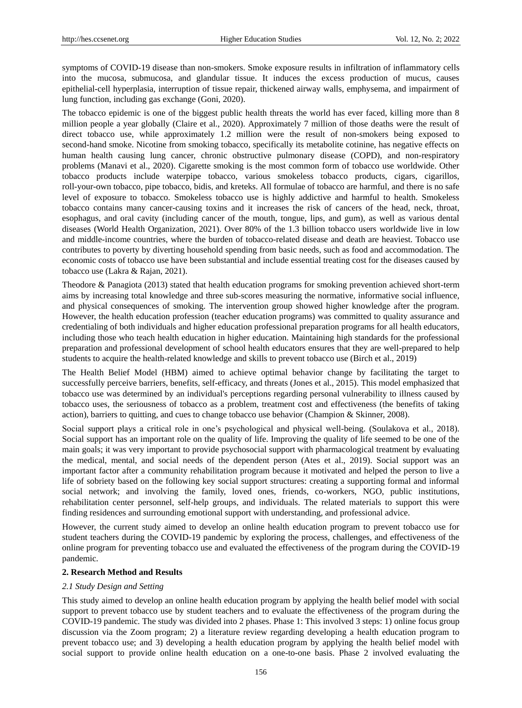symptoms of COVID-19 disease than non-smokers. Smoke exposure results in infiltration of inflammatory cells into the mucosa, submucosa, and glandular tissue. It induces the excess production of mucus, causes epithelial-cell hyperplasia, interruption of tissue repair, thickened airway walls, emphysema, and impairment of lung function, including gas exchange (Goni, 2020).

The tobacco epidemic is one of the biggest public health threats the world has ever faced, killing more than 8 million people a year globally (Claire et al., 2020). Approximately 7 million of those deaths were the result of direct tobacco use, while approximately 1.2 million were the result of non-smokers being exposed to second-hand smoke. Nicotine from smoking tobacco, specifically its metabolite cotinine, has negative effects on human health causing lung cancer, chronic obstructive pulmonary disease (COPD), and non-respiratory problems (Manavi et al., 2020). Cigarette smoking is the most common form of tobacco use worldwide. Other tobacco products include waterpipe tobacco, various smokeless tobacco products, cigars, cigarillos, roll-your-own tobacco, pipe tobacco, bidis, and kreteks. All formulae of tobacco are harmful, and there is no safe level of exposure to tobacco. Smokeless tobacco use is highly addictive and harmful to health. Smokeless tobacco contains many cancer-causing toxins and it increases the risk of cancers of the head, neck, throat, esophagus, and oral cavity (including cancer of the mouth, tongue, lips, and gum), as well as various dental diseases (World Health Organization, 2021). Over 80% of the 1.3 billion tobacco users worldwide live in low and middle-income countries, where the burden of tobacco-related disease and death are heaviest. Tobacco use contributes to poverty by diverting household spending from basic needs, such as food and accommodation. The economic costs of tobacco use have been substantial and include essential treating cost for the diseases caused by tobacco use (Lakra & Rajan, 2021).

Theodore & Panagiota (2013) stated that health education programs for smoking prevention achieved short-term aims by increasing total knowledge and three sub-scores measuring the normative, informative social influence, and physical consequences of smoking. The intervention group showed higher knowledge after the program. However, the health education profession (teacher education programs) was committed to quality assurance and credentialing of both individuals and higher education professional preparation programs for all health educators, including those who teach health education in higher education. Maintaining high standards for the professional preparation and professional development of school health educators ensures that they are well-prepared to help students to acquire the health-related knowledge and skills to prevent tobacco use (Birch et al., 2019)

The Health Belief Model (HBM) aimed to achieve optimal behavior change by facilitating the target to successfully perceive barriers, benefits, self-efficacy, and threats (Jones et al., 2015). This model emphasized that tobacco use was determined by an individual's perceptions regarding personal vulnerability to illness caused by tobacco uses, the seriousness of tobacco as a problem, treatment cost and effectiveness (the benefits of taking action), barriers to quitting, and cues to change tobacco use behavior (Champion & Skinner, 2008).

Social support plays a critical role in one's psychological and physical well-being. (Soulakova et al., 2018). Social support has an important role on the quality of life. Improving the quality of life seemed to be one of the main goals; it was very important to provide psychosocial support with pharmacological treatment by evaluating the medical, mental, and social needs of the dependent person (Ates et al., 2019). Social support was an important factor after a community rehabilitation program because it motivated and helped the person to live a life of sobriety based on the following key social support structures: creating a supporting formal and informal social network; and involving the family, loved ones, friends, co-workers, NGO, public institutions, rehabilitation center personnel, self-help groups, and individuals. The related materials to support this were finding residences and surrounding emotional support with understanding, and professional advice.

However, the current study aimed to develop an online health education program to prevent tobacco use for student teachers during the COVID-19 pandemic by exploring the process, challenges, and effectiveness of the online program for preventing tobacco use and evaluated the effectiveness of the program during the COVID-19 pandemic.

## **2. Research Method and Results**

#### *2.1 Study Design and Setting*

This study aimed to develop an online health education program by applying the health belief model with social support to prevent tobacco use by student teachers and to evaluate the effectiveness of the program during the COVID-19 pandemic. The study was divided into 2 phases. Phase 1: This involved 3 steps: 1) online focus group discussion via the Zoom program; 2) a literature review regarding developing a health education program to prevent tobacco use; and 3) developing a health education program by applying the health belief model with social support to provide online health education on a one-to-one basis. Phase 2 involved evaluating the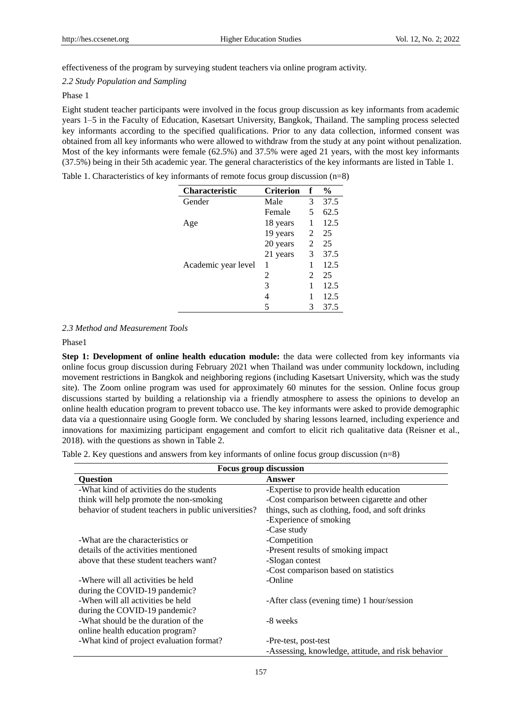effectiveness of the program by surveying student teachers via online program activity.

# *2.2 Study Population and Sampling*

## Phase 1

Eight student teacher participants were involved in the focus group discussion as key informants from academic years 1–5 in the Faculty of Education, Kasetsart University, Bangkok, Thailand. The sampling process selected key informants according to the specified qualifications. Prior to any data collection, informed consent was obtained from all key informants who were allowed to withdraw from the study at any point without penalization. Most of the key informants were female (62.5%) and 37.5% were aged 21 years, with the most key informants (37.5%) being in their 5th academic year. The general characteristics of the key informants are listed in Table 1.

| Table 1. Characteristics of key informants of remote focus group discussion $(n=8)$ |  |  |  |  |  |  |  |  |  |  |  |
|-------------------------------------------------------------------------------------|--|--|--|--|--|--|--|--|--|--|--|
|-------------------------------------------------------------------------------------|--|--|--|--|--|--|--|--|--|--|--|

| <b>Characteristic</b> | Criterion | f              | $\frac{6}{9}$ |
|-----------------------|-----------|----------------|---------------|
| Gender                | Male      | 3              | 37.5          |
|                       | Female    | 5              | 62.5          |
| Age                   | 18 years  | 1              | 12.5          |
|                       | 19 years  | 2              | 25            |
|                       | 20 years  | 2              | 25            |
|                       | 21 years  | 3              | 37.5          |
| Academic year level   | 1         | 1              | 12.5          |
|                       | 2         | $\mathfrak{D}$ | 25            |
|                       | 3         | 1              | 12.5          |
|                       | 4         | 1              | 12.5          |
|                       | 5         | 3              | 37.5          |

*2.3 Method and Measurement Tools*

## Phase1

**Step 1: Development of online health education module:** the data were collected from key informants via online focus group discussion during February 2021 when Thailand was under community lockdown, including movement restrictions in Bangkok and neighboring regions (including Kasetsart University, which was the study site). The Zoom online program was used for approximately 60 minutes for the session. Online focus group discussions started by building a relationship via a friendly atmosphere to assess the opinions to develop an online health education program to prevent tobacco use. The key informants were asked to provide demographic data via a questionnaire using Google form. We concluded by sharing lessons learned, including experience and innovations for maximizing participant engagement and comfort to elicit rich qualitative data (Reisner et al., 2018). with the questions as shown in Table 2.

Table 2. Key questions and answers from key informants of online focus group discussion (n=8)

| Focus group discussion                               |                                                    |  |  |  |  |  |
|------------------------------------------------------|----------------------------------------------------|--|--|--|--|--|
| <b>Ouestion</b>                                      | Answer                                             |  |  |  |  |  |
| -What kind of activities do the students             | -Expertise to provide health education             |  |  |  |  |  |
| think will help promote the non-smoking              | -Cost comparison between cigarette and other       |  |  |  |  |  |
| behavior of student teachers in public universities? | things, such as clothing, food, and soft drinks    |  |  |  |  |  |
|                                                      | -Experience of smoking                             |  |  |  |  |  |
|                                                      | -Case study                                        |  |  |  |  |  |
| -What are the characteristics or                     | -Competition                                       |  |  |  |  |  |
| details of the activities mentioned                  | -Present results of smoking impact.                |  |  |  |  |  |
| above that these student teachers want?              | -Slogan contest                                    |  |  |  |  |  |
|                                                      | -Cost comparison based on statistics               |  |  |  |  |  |
| -Where will all activities be held                   | -Online                                            |  |  |  |  |  |
| during the COVID-19 pandemic?                        |                                                    |  |  |  |  |  |
| -When will all activities be held                    | -After class (evening time) 1 hour/session         |  |  |  |  |  |
| during the COVID-19 pandemic?                        |                                                    |  |  |  |  |  |
| -What should be the duration of the                  | -8 weeks                                           |  |  |  |  |  |
| online health education program?                     |                                                    |  |  |  |  |  |
| -What kind of project evaluation format?             | -Pre-test, post-test                               |  |  |  |  |  |
|                                                      | -Assessing, knowledge, attitude, and risk behavior |  |  |  |  |  |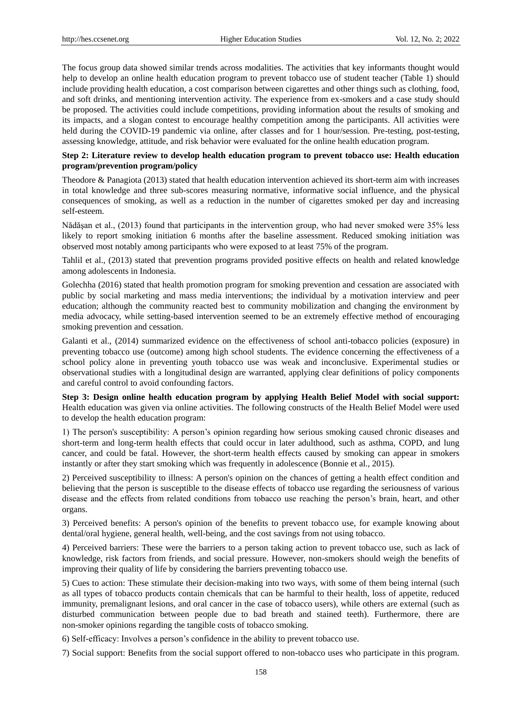The focus group data showed similar trends across modalities. The activities that key informants thought would help to develop an online health education program to prevent tobacco use of student teacher (Table 1) should include providing health education, a cost comparison between cigarettes and other things such as clothing, food, and soft drinks, and mentioning intervention activity. The experience from ex-smokers and a case study should be proposed. The activities could include competitions, providing information about the results of smoking and its impacts, and a slogan contest to encourage healthy competition among the participants. All activities were held during the COVID-19 pandemic via online, after classes and for 1 hour/session. Pre-testing, post-testing, assessing knowledge, attitude, and risk behavior were evaluated for the online health education program.

# **Step 2: Literature review to develop health education program to prevent tobacco use: Health education program/prevention program/policy**

Theodore & Panagiota (2013) stated that health education intervention achieved its short-term aim with increases in total knowledge and three sub-scores measuring normative, informative social influence, and the physical consequences of smoking, as well as a reduction in the number of cigarettes smoked per day and increasing self-esteem.

Nădăşan et al., (2013) found that participants in the intervention group, who had never smoked were 35% less likely to report smoking initiation 6 months after the baseline assessment. Reduced smoking initiation was observed most notably among participants who were exposed to at least 75% of the program.

Tahlil et al., (2013) stated that prevention programs provided positive effects on health and related knowledge among adolescents in Indonesia.

Golechha (2016) stated that health promotion program for smoking prevention and cessation are associated with public by social marketing and mass media interventions; the individual by a motivation interview and peer education; although the community reacted best to community mobilization and changing the environment by media advocacy, while setting-based intervention seemed to be an extremely effective method of encouraging smoking prevention and cessation.

Galanti et al., (2014) summarized evidence on the effectiveness of school anti-tobacco policies (exposure) in preventing tobacco use (outcome) among high school students. The evidence concerning the effectiveness of a school policy alone in preventing youth tobacco use was weak and inconclusive. Experimental studies or observational studies with a longitudinal design are warranted, applying clear definitions of policy components and careful control to avoid confounding factors.

**Step 3: Design online health education program by applying Health Belief Model with social support:** Health education was given via online activities. The following constructs of the Health Belief Model were used to develop the health education program:

1) The person's susceptibility: A person's opinion regarding how serious smoking caused chronic diseases and short-term and long-term health effects that could occur in later adulthood, such as asthma, COPD, and lung cancer, and could be fatal. However, the short-term health effects caused by smoking can appear in smokers instantly or after they start smoking which was frequently in adolescence (Bonnie et al., 2015).

2) Perceived susceptibility to illness: A person's opinion on the chances of getting a health effect condition and believing that the person is susceptible to the disease effects of tobacco use regarding the seriousness of various disease and the effects from related conditions from tobacco use reaching the person's brain, heart, and other organs.

3) Perceived benefits: A person's opinion of the benefits to prevent tobacco use, for example knowing about dental/oral hygiene, general health, well-being, and the cost savings from not using tobacco.

4) Perceived barriers: These were the barriers to a person taking action to prevent tobacco use, such as lack of knowledge, risk factors from friends, and social pressure. However, non-smokers should weigh the benefits of improving their quality of life by considering the barriers preventing tobacco use.

5) Cues to action: These stimulate their decision-making into two ways, with some of them being internal (such as all types of tobacco products contain chemicals that can be harmful to their health, loss of appetite, reduced immunity, premalignant lesions, and oral cancer in the case of tobacco users), while others are external (such as disturbed communication between people due to bad breath and stained teeth). Furthermore, there are non-smoker opinions regarding the tangible costs of tobacco smoking.

6) Self-efficacy: Involves a person's confidence in the ability to prevent tobacco use.

7) Social support: Benefits from the social support offered to non-tobacco uses who participate in this program.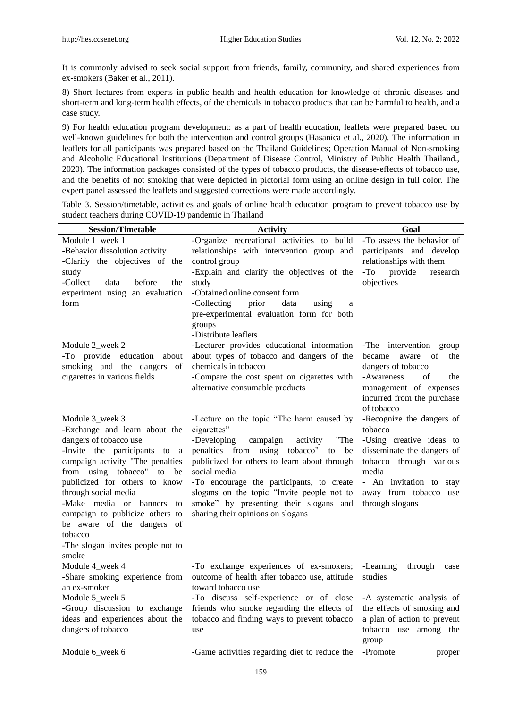It is commonly advised to seek social support from friends, family, community, and shared experiences from ex-smokers (Baker et al., 2011).

8) Short lectures from experts in public health and health education for knowledge of chronic diseases and short-term and long-term health effects, of the chemicals in tobacco products that can be harmful to health, and a case study.

9) For health education program development: as a part of health education, leaflets were prepared based on well-known guidelines for both the intervention and control groups (Hasanica et al., 2020). The information in leaflets for all participants was prepared based on the Thailand Guidelines; Operation Manual of Non-smoking and Alcoholic Educational Institutions (Department of Disease Control, Ministry of Public Health Thailand., 2020). The information packages consisted of the types of tobacco products, the disease-effects of tobacco use, and the benefits of not smoking that were depicted in pictorial form using an online design in full color. The expert panel assessed the leaflets and suggested corrections were made accordingly.

Table 3. Session/timetable, activities and goals of online health education program to prevent tobacco use by student teachers during COVID-19 pandemic in Thailand

| <b>Session/Timetable</b>                              | <b>Activity</b>                                                                    | Goal                                                  |  |  |  |
|-------------------------------------------------------|------------------------------------------------------------------------------------|-------------------------------------------------------|--|--|--|
| Module 1_week 1                                       | -Organize recreational activities to build                                         | -To assess the behavior of                            |  |  |  |
| -Behavior dissolution activity                        | relationships with intervention group and                                          | participants and develop                              |  |  |  |
| -Clarify the objectives of the                        | control group                                                                      | relationships with them                               |  |  |  |
| study                                                 | -Explain and clarify the objectives of the                                         | -To<br>provide<br>research                            |  |  |  |
| -Collect<br>data<br>before<br>the                     | study                                                                              | objectives                                            |  |  |  |
| experiment using an evaluation                        | -Obtained online consent form                                                      |                                                       |  |  |  |
| form                                                  | -Collecting<br>prior<br>data<br>using<br>a                                         |                                                       |  |  |  |
|                                                       | pre-experimental evaluation form for both                                          |                                                       |  |  |  |
|                                                       | groups                                                                             |                                                       |  |  |  |
|                                                       | -Distribute leaflets                                                               |                                                       |  |  |  |
| Module 2_week 2                                       | -Lecturer provides educational information                                         | -The intervention group                               |  |  |  |
| -To provide education about                           | about types of tobacco and dangers of the                                          | became<br>aware<br>of<br>the                          |  |  |  |
| smoking and the dangers<br>of                         | chemicals in tobacco                                                               | dangers of tobacco                                    |  |  |  |
| cigarettes in various fields                          | -Compare the cost spent on cigarettes with                                         | -Awareness<br>of<br>the                               |  |  |  |
|                                                       | alternative consumable products                                                    | management of expenses                                |  |  |  |
|                                                       |                                                                                    | incurred from the purchase                            |  |  |  |
|                                                       |                                                                                    | of tobacco                                            |  |  |  |
| Module 3_week 3                                       | -Lecture on the topic "The harm caused by                                          | -Recognize the dangers of                             |  |  |  |
| -Exchange and learn about the                         | cigarettes"                                                                        | tobacco                                               |  |  |  |
| dangers of tobacco use<br>-Invite the participants to | -Developing<br>campaign<br>"The<br>activity<br>penalties from using tobacco"<br>be | -Using creative ideas to                              |  |  |  |
| <sub>a</sub><br>campaign activity "The penalties      | to<br>publicized for others to learn about through                                 | disseminate the dangers of<br>tobacco through various |  |  |  |
| from using tobacco" to<br>be                          | social media                                                                       | media                                                 |  |  |  |
| publicized for others to know                         | -To encourage the participants, to create                                          | - An invitation to stay                               |  |  |  |
| through social media                                  | slogans on the topic "Invite people not to                                         | away from tobacco<br>use                              |  |  |  |
| -Make media or banners<br>to                          | smoke" by presenting their slogans and                                             | through slogans                                       |  |  |  |
| campaign to publicize others to                       | sharing their opinions on slogans                                                  |                                                       |  |  |  |
| be aware of the dangers of                            |                                                                                    |                                                       |  |  |  |
| tobacco                                               |                                                                                    |                                                       |  |  |  |
| -The slogan invites people not to                     |                                                                                    |                                                       |  |  |  |
| smoke                                                 |                                                                                    |                                                       |  |  |  |
| Module 4_week 4                                       | -To exchange experiences of ex-smokers;                                            | -Learning<br>through<br>case                          |  |  |  |
| -Share smoking experience from                        | outcome of health after tobacco use, attitude                                      | studies                                               |  |  |  |
| an ex-smoker                                          | toward tobacco use                                                                 |                                                       |  |  |  |
| Module 5_week 5                                       | -To discuss self-experience or of close                                            | -A systematic analysis of                             |  |  |  |
| -Group discussion to exchange                         | friends who smoke regarding the effects of                                         | the effects of smoking and                            |  |  |  |
| ideas and experiences about the                       | tobacco and finding ways to prevent tobacco                                        | a plan of action to prevent                           |  |  |  |
| dangers of tobacco                                    | use                                                                                | tobacco use among the                                 |  |  |  |
|                                                       |                                                                                    | group                                                 |  |  |  |
| Module 6_week 6                                       | -Game activities regarding diet to reduce the                                      | -Promote<br>proper                                    |  |  |  |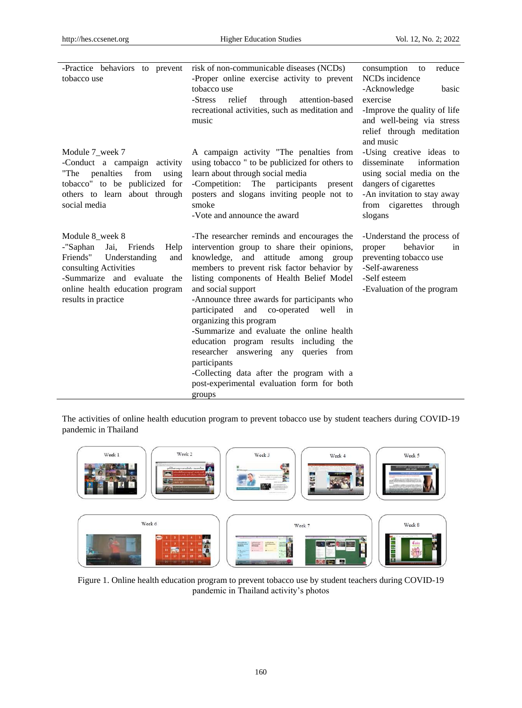| -Practice behaviors to prevent                                                                                                                                                                                  | risk of non-communicable diseases (NCDs)                                                                                                                                                                                                                                                                                                                                                                                                                                                                                                                                                                                                  | consumption<br>reduce<br>to                                                                                                                                                       |
|-----------------------------------------------------------------------------------------------------------------------------------------------------------------------------------------------------------------|-------------------------------------------------------------------------------------------------------------------------------------------------------------------------------------------------------------------------------------------------------------------------------------------------------------------------------------------------------------------------------------------------------------------------------------------------------------------------------------------------------------------------------------------------------------------------------------------------------------------------------------------|-----------------------------------------------------------------------------------------------------------------------------------------------------------------------------------|
| tobacco use                                                                                                                                                                                                     | -Proper online exercise activity to prevent<br>tobacco use<br>relief                                                                                                                                                                                                                                                                                                                                                                                                                                                                                                                                                                      | NCD <sub>s</sub> incidence<br>-Acknowledge<br>basic<br>exercise                                                                                                                   |
|                                                                                                                                                                                                                 | -Stress<br>through<br>attention-based<br>recreational activities, such as meditation and<br>music                                                                                                                                                                                                                                                                                                                                                                                                                                                                                                                                         | -Improve the quality of life<br>and well-being via stress<br>relief through meditation<br>and music                                                                               |
| Module 7_week 7<br>-Conduct a campaign activity<br>"The penalties"<br>from<br>using<br>tobacco" to be publicized for<br>others to learn about through<br>social media                                           | A campaign activity "The penalties from<br>using tobacco" to be publicized for others to<br>learn about through social media<br>-Competition: The participants<br>present<br>posters and slogans inviting people not to<br>smoke<br>-Vote and announce the award                                                                                                                                                                                                                                                                                                                                                                          | -Using creative ideas to<br>disseminate<br>information<br>using social media on the<br>dangers of cigarettes<br>-An invitation to stay away<br>from cigarettes through<br>slogans |
| Module 8 week 8<br>-"Saphan<br>Jai,<br>Friends<br>Help<br>Friends"<br>Understanding<br>and<br>consulting Activities<br>-Summarize and evaluate<br>the<br>online health education program<br>results in practice | -The researcher reminds and encourages the<br>intervention group to share their opinions,<br>knowledge, and attitude among group<br>members to prevent risk factor behavior by<br>listing components of Health Belief Model<br>and social support<br>-Announce three awards for participants who<br>participated<br>and<br>co-operated well<br>$\sin$<br>organizing this program<br>-Summarize and evaluate the online health<br>education program results including the<br>researcher answering any<br>queries from<br>participants<br>-Collecting data after the program with a<br>post-experimental evaluation form for both<br>groups | -Understand the process of<br>proper<br>behavior<br>in<br>preventing tobacco use<br>-Self-awareness<br>-Self esteem<br>-Evaluation of the program                                 |

The activities of online health educution program to prevent tobacco use by student teachers during COVID-19 pandemic in Thailand



Figure 1. Online health education program to prevent tobacco use by student teachers during COVID-19 pandemic in Thailand activity's photos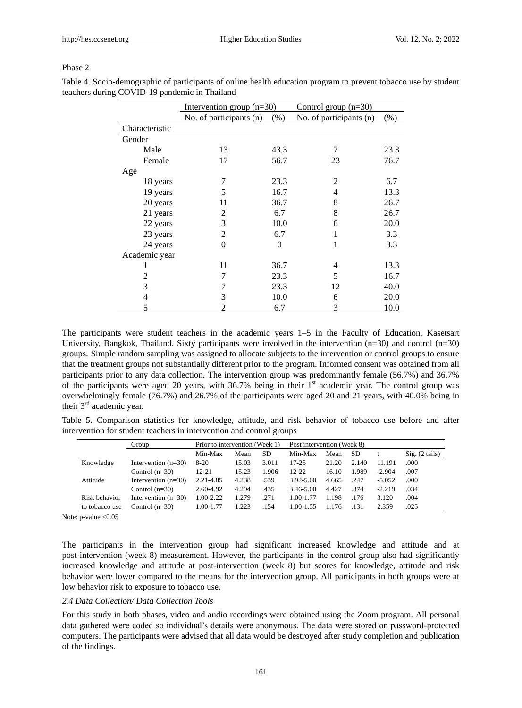#### Phase 2

Table 4. Socio-demographic of participants of online health education program to prevent tobacco use by student teachers during COVID-19 pandemic in Thailand

|                | Intervention group $(n=30)$ |         | Control group $(n=30)$  |        |
|----------------|-----------------------------|---------|-------------------------|--------|
|                | No. of participants (n)     | $(\% )$ | No. of participants (n) | $(\%)$ |
| Characteristic |                             |         |                         |        |
| Gender         |                             |         |                         |        |
| Male           | 13                          | 43.3    | 7                       | 23.3   |
| Female         | 17                          | 56.7    | 23                      | 76.7   |
| Age            |                             |         |                         |        |
| 18 years       | 7                           | 23.3    | $\overline{2}$          | 6.7    |
| 19 years       | 5                           | 16.7    | 4                       | 13.3   |
| 20 years       | 11                          | 36.7    | 8                       | 26.7   |
| 21 years       | 2                           | 6.7     | 8                       | 26.7   |
| 22 years       | 3                           | 10.0    | 6                       | 20.0   |
| 23 years       | 2                           | 6.7     |                         | 3.3    |
| 24 years       | $\Omega$                    | 0       | 1                       | 3.3    |
| Academic year  |                             |         |                         |        |
| 1              | 11                          | 36.7    | 4                       | 13.3   |
| 2              | 7                           | 23.3    | 5                       | 16.7   |
| 3              | 7                           | 23.3    | 12                      | 40.0   |
| 4              | 3                           | 10.0    | 6                       | 20.0   |
| 5              |                             | 6.7     | 3                       | 10.0   |

The participants were student teachers in the academic years 1–5 in the Faculty of Education, Kasetsart University, Bangkok, Thailand. Sixty participants were involved in the intervention (n=30) and control (n=30) groups. Simple random sampling was assigned to allocate subjects to the intervention or control groups to ensure that the treatment groups not substantially different prior to the program. Informed consent was obtained from all participants prior to any data collection. The intervention group was predominantly female (56.7%) and 36.7% of the participants were aged 20 years, with  $36.7\%$  being in their 1<sup>st</sup> academic year. The control group was overwhelmingly female (76.7%) and 26.7% of the participants were aged 20 and 21 years, with 40.0% being in their 3<sup>rd</sup> academic year.

Table 5. Comparison statistics for knowledge, attitude, and risk behavior of tobacco use before and after intervention for student teachers in intervention and control groups

|                | Group                 | Prior to intervention (Week 1) |       | Post intervention (Week 8) |               |       |           |          |                |
|----------------|-----------------------|--------------------------------|-------|----------------------------|---------------|-------|-----------|----------|----------------|
|                |                       | Min-Max                        | Mean  | SD                         | Min-Max       | Mean  | <b>SD</b> |          | Sig. (2 tails) |
| Knowledge      | Intervention $(n=30)$ | $8 - 20$                       | 15.03 | 3.011                      | $17 - 25$     | 21.20 | 2.140     | 11.191   | .000           |
|                | Control $(n=30)$      | $12 - 21$                      | 15.23 | 1.906                      | $12 - 22$     | 16.10 | 1.989     | $-2.904$ | .007           |
| Attitude       | Intervention $(n=30)$ | 2.21-4.85                      | 4.238 | .539                       | 3.92-5.00     | 4.665 | .247      | $-5.052$ | .000           |
|                | Control $(n=30)$      | 2.60-4.92                      | 4.294 | .435                       | 3.46-5.00     | 4.427 | .374      | $-2.219$ | .034           |
| Risk behavior  | Intervention $(n=30)$ | 1.00-2.22                      | 1.279 | .271                       | 1.00-1.77     | 1.198 | .176      | 3.120    | .004           |
| to tobacco use | Control $(n=30)$      | 1.00-1.77                      | 1.223 | .154                       | $1.00 - 1.55$ | ⊟176  | .131      | 2.359    | .025           |

Note: p-value < 0.05

The participants in the intervention group had significant increased knowledge and attitude and at post-intervention (week 8) measurement. However, the participants in the control group also had significantly increased knowledge and attitude at post-intervention (week 8) but scores for knowledge, attitude and risk behavior were lower compared to the means for the intervention group. All participants in both groups were at low behavior risk to exposure to tobacco use.

# *2.4 Data Collection/ Data Collection Tools*

For this study in both phases, video and audio recordings were obtained using the Zoom program. All personal data gathered were coded so individual's details were anonymous. The data were stored on password-protected computers. The participants were advised that all data would be destroyed after study completion and publication of the findings.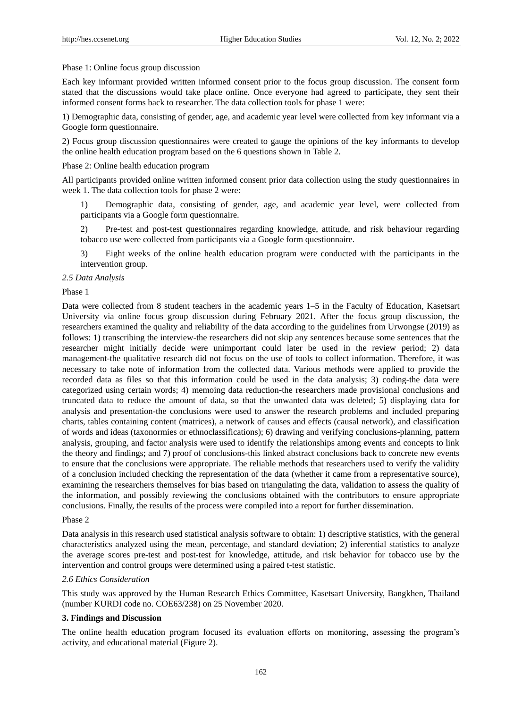### Phase 1: Online focus group discussion

Each key informant provided written informed consent prior to the focus group discussion. The consent form stated that the discussions would take place online. Once everyone had agreed to participate, they sent their informed consent forms back to researcher. The data collection tools for phase 1 were:

1) Demographic data, consisting of gender, age, and academic year level were collected from key informant via a Google form questionnaire.

2) Focus group discussion questionnaires were created to gauge the opinions of the key informants to develop the online health education program based on the 6 questions shown in Table 2.

#### Phase 2: Online health education program

All participants provided online written informed consent prior data collection using the study questionnaires in week 1. The data collection tools for phase 2 were:

1) Demographic data, consisting of gender, age, and academic year level, were collected from participants via a Google form questionnaire.

2) Pre-test and post-test questionnaires regarding knowledge, attitude, and risk behaviour regarding tobacco use were collected from participants via a Google form questionnaire.

3) Eight weeks of the online health education program were conducted with the participants in the intervention group.

## *2.5 Data Analysis*

#### Phase 1

Data were collected from 8 student teachers in the academic years 1–5 in the Faculty of Education, Kasetsart University via online focus group discussion during February 2021. After the focus group discussion, the researchers examined the quality and reliability of the data according to the guidelines from Urwongse (2019) as follows: 1) transcribing the interview-the researchers did not skip any sentences because some sentences that the researcher might initially decide were unimportant could later be used in the review period; 2) data management-the qualitative research did not focus on the use of tools to collect information. Therefore, it was necessary to take note of information from the collected data. Various methods were applied to provide the recorded data as files so that this information could be used in the data analysis; 3) coding-the data were categorized using certain words; 4) memoing data reduction-the researchers made provisional conclusions and truncated data to reduce the amount of data, so that the unwanted data was deleted; 5) displaying data for analysis and presentation-the conclusions were used to answer the research problems and included preparing charts, tables containing content (matrices), a network of causes and effects (causal network), and classification of words and ideas (taxonormies or ethnoclassifications); 6) drawing and verifying conclusions-planning, pattern analysis, grouping, and factor analysis were used to identify the relationships among events and concepts to link the theory and findings; and 7) proof of conclusions-this linked abstract conclusions back to concrete new events to ensure that the conclusions were appropriate. The reliable methods that researchers used to verify the validity of a conclusion included checking the representation of the data (whether it came from a representative source), examining the researchers themselves for bias based on triangulating the data, validation to assess the quality of the information, and possibly reviewing the conclusions obtained with the contributors to ensure appropriate conclusions. Finally, the results of the process were compiled into a report for further dissemination.

#### Phase 2

Data analysis in this research used statistical analysis software to obtain: 1) descriptive statistics, with the general characteristics analyzed using the mean, percentage, and standard deviation; 2) inferential statistics to analyze the average scores pre-test and post-test for knowledge, attitude, and risk behavior for tobacco use by the intervention and control groups were determined using a paired t-test statistic.

## *2.6 Ethics Consideration*

This study was approved by the Human Research Ethics Committee, Kasetsart University, Bangkhen, Thailand (number KURDI code no. COE63/238) on 25 November 2020.

#### **3. Findings and Discussion**

The online health education program focused its evaluation efforts on monitoring, assessing the program's activity, and educational material (Figure 2).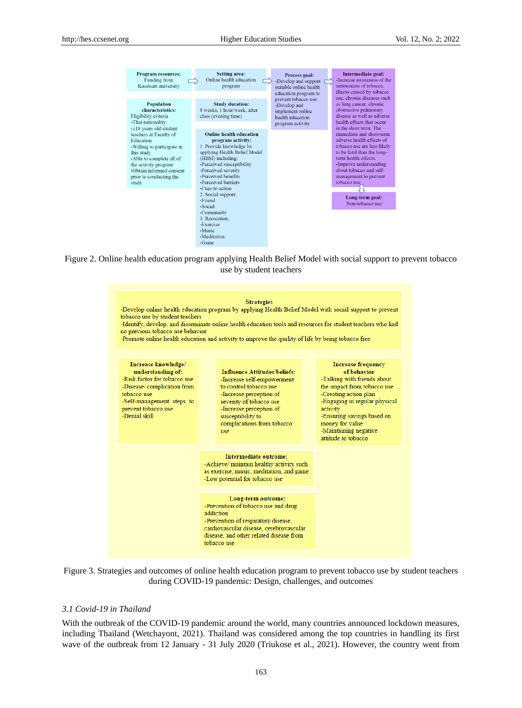

Figure 2. Online health education program applying Health Belief Model with social support to prevent tobacco use by student teachers





## *3.1 Covid-19 in Thailand*

With the outbreak of the COVID-19 pandemic around the world, many countries announced lockdown measures, including Thailand (Wetchayont, 2021). Thailand was considered among the top countries in handling its first wave of the outbreak from 12 January - 31 July 2020 (Triukose et al., 2021). However, the country went from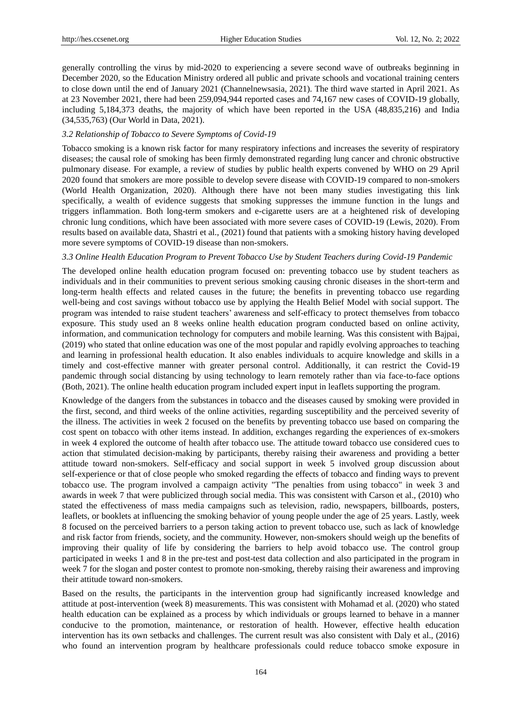generally controlling the virus by mid-2020 to experiencing a severe second wave of outbreaks beginning in December 2020, so the Education Ministry ordered all public and private schools and vocational training centers to close down until the end of January 2021 (Channelnewsasia, 2021). The third wave started in April 2021. As at 23 November 2021, there had been 259,094,944 reported cases and 74,167 new cases of COVID-19 globally, including 5,184,373 deaths, the majority of which have been reported in the USA (48,835,216) and India (34,535,763) (Our World in Data, 2021).

## *3.2 Relationship of Tobacco to Severe Symptoms of Covid-19*

Tobacco smoking is a known risk factor for many respiratory infections and increases the severity of respiratory diseases; the causal role of smoking has been firmly demonstrated regarding lung cancer and chronic obstructive pulmonary disease. For example, a review of studies by public health experts convened by WHO on 29 April 2020 found that smokers are more possible to develop severe disease with COVID-19 compared to non-smokers (World Health Organization, 2020). Although there have not been many studies investigating this link specifically, a wealth of evidence suggests that smoking suppresses the immune function in the lungs and triggers inflammation. Both long-term smokers and e-cigarette users are at a heightened risk of developing chronic lung conditions, which have been associated with more severe cases of COVID-19 (Lewis, 2020). From results based on available data, Shastri et al., (2021) found that patients with a smoking history having developed more severe symptoms of COVID-19 disease than non-smokers.

#### *3.3 Online Health Education Program to Prevent Tobacco Use by Student Teachers during Covid-19 Pandemic*

The developed online health education program focused on: preventing tobacco use by student teachers as individuals and in their communities to prevent serious smoking causing chronic diseases in the short-term and long-term health effects and related causes in the future; the benefits in preventing tobacco use regarding well-being and cost savings without tobacco use by applying the Health Belief Model with social support. The program was intended to raise student teachers' awareness and self-efficacy to protect themselves from tobacco exposure. This study used an 8 weeks online health education program conducted based on online activity, information, and communication technology for computers and mobile learning. Was this consistent with Bajpai, (2019) who stated that online education was one of the most popular and rapidly evolving approaches to teaching and learning in professional health education. It also enables individuals to acquire knowledge and skills in a timely and cost-effective manner with greater personal control. Additionally, it can restrict the Covid-19 pandemic through social distancing by using technology to learn remotely rather than via face-to-face options (Both, 2021). The online health education program included expert input in leaflets supporting the program.

Knowledge of the dangers from the substances in tobacco and the diseases caused by smoking were provided in the first, second, and third weeks of the online activities, regarding susceptibility and the perceived severity of the illness. The activities in week 2 focused on the benefits by preventing tobacco use based on comparing the cost spent on tobacco with other items instead. In addition, exchanges regarding the experiences of ex-smokers in week 4 explored the outcome of health after tobacco use. The attitude toward tobacco use considered cues to action that stimulated decision-making by participants, thereby raising their awareness and providing a better attitude toward non-smokers. Self-efficacy and social support in week 5 involved group discussion about self-experience or that of close people who smoked regarding the effects of tobacco and finding ways to prevent tobacco use. The program involved a campaign activity "The penalties from using tobacco" in week 3 and awards in week 7 that were publicized through social media. This was consistent with Carson et al., (2010) who stated the effectiveness of mass media campaigns such as television, radio, newspapers, billboards, posters, leaflets, or booklets at influencing the smoking behavior of young people under the age of 25 years. Lastly, week 8 focused on the perceived barriers to a person taking action to prevent tobacco use, such as lack of knowledge and risk factor from friends, society, and the community. However, non-smokers should weigh up the benefits of improving their quality of life by considering the barriers to help avoid tobacco use. The control group participated in weeks 1 and 8 in the pre-test and post-test data collection and also participated in the program in week 7 for the slogan and poster contest to promote non-smoking, thereby raising their awareness and improving their attitude toward non-smokers.

Based on the results, the participants in the intervention group had significantly increased knowledge and attitude at post-intervention (week 8) measurements. This was consistent with Mohamad et al. (2020) who stated health education can be explained as a process by which individuals or groups learned to behave in a manner conducive to the promotion, maintenance, or restoration of health. However, effective health education intervention has its own setbacks and challenges. The current result was also consistent with Daly et al., (2016) who found an intervention program by healthcare professionals could reduce tobacco smoke exposure in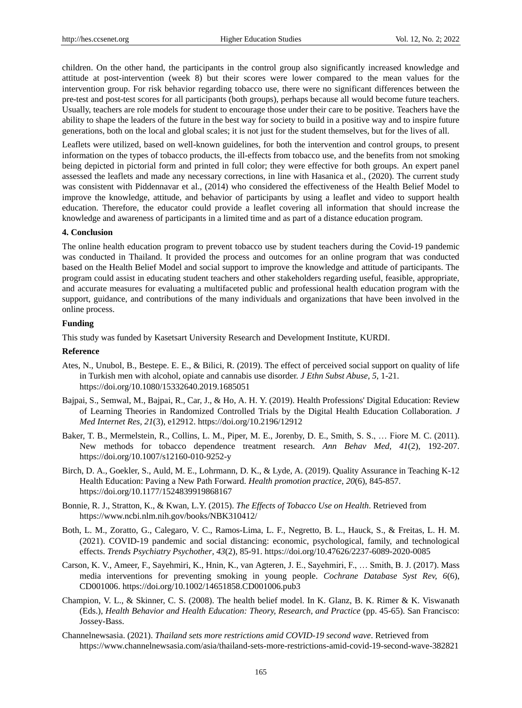children. On the other hand, the participants in the control group also significantly increased knowledge and attitude at post-intervention (week 8) but their scores were lower compared to the mean values for the intervention group. For risk behavior regarding tobacco use, there were no significant differences between the pre-test and post-test scores for all participants (both groups), perhaps because all would become future teachers. Usually, teachers are role models for student to encourage those under their care to be positive. Teachers have the ability to shape the leaders of the future in the best way for society to build in a positive way and to inspire future generations, both on the local and global scales; it is not just for the student themselves, but for the lives of all.

Leaflets were utilized, based on well-known guidelines, for both the intervention and control groups, to present information on the types of tobacco products, the ill-effects from tobacco use, and the benefits from not smoking being depicted in pictorial form and printed in full color; they were effective for both groups. An expert panel assessed the leaflets and made any necessary corrections, in line with Hasanica et al., (2020). The current study was consistent with Piddennavar et al., (2014) who considered the effectiveness of the Health Belief Model to improve the knowledge, attitude, and behavior of participants by using a leaflet and video to support health education. Therefore, the educator could provide a leaflet covering all information that should increase the knowledge and awareness of participants in a limited time and as part of a distance education program.

#### **4. Conclusion**

The online health education program to prevent tobacco use by student teachers during the Covid-19 pandemic was conducted in Thailand. It provided the process and outcomes for an online program that was conducted based on the Health Belief Model and social support to improve the knowledge and attitude of participants. The program could assist in educating student teachers and other stakeholders regarding useful, feasible, appropriate, and accurate measures for evaluating a multifaceted public and professional health education program with the support, guidance, and contributions of the many individuals and organizations that have been involved in the online process.

## **Funding**

This study was funded by Kasetsart University Research and Development Institute, KURDI.

#### **Reference**

- Ates, N., Unubol, B., Bestepe. E. E., & Bilici, R. (2019). The effect of perceived social support on quality of life in Turkish men with alcohol, opiate and cannabis use disorder. *J Ethn Subst Abuse, 5*, 1-21. https://doi.org/10.1080/15332640.2019.1685051
- Bajpai, S., Semwal, M., Bajpai, R., Car, J., & Ho, A. H. Y. (2019). Health Professions' Digital Education: Review of Learning Theories in Randomized Controlled Trials by the Digital Health Education Collaboration. *J Med Internet Res, 21*(3), e12912. https://doi.org/10.2196/12912
- Baker, T. B., Mermelstein, R., Collins, L. M., Piper, M. E., Jorenby, D. E., Smith, S. S., … Fiore M. C. (2011). New methods for tobacco dependence treatment research. *Ann Behav Med, 41*(2), 192-207. https://doi.org/10.1007/s12160-010-9252-y
- Birch, D. A., Goekler, S., Auld, M. E., Lohrmann, D. K., & Lyde, A. (2019). Quality Assurance in Teaching K-12 Health Education: Paving a New Path Forward. *Health promotion practice, 20*(6), 845-857. https://doi.org/10.1177/1524839919868167
- Bonnie, R. J., Stratton, K., & Kwan, L.Y. (2015). *The Effects of Tobacco Use on Health*. Retrieved from https://www.ncbi.nlm.nih.gov/books/NBK310412/
- Both, L. M., Zoratto, G., Calegaro, V. C., Ramos-Lima, L. F., Negretto, B. L., Hauck, S., & Freitas, L. H. M. (2021). COVID-19 pandemic and social distancing: economic, psychological, family, and technological effects. *Trends Psychiatry Psychother, 43*(2), 85-91. https://doi.org/10.47626/2237-6089-2020-0085
- Carson, K. V., Ameer, F., Sayehmiri, K., Hnin, K., van Agteren, J. E., Sayehmiri, F., … Smith, B. J. (2017). Mass media interventions for preventing smoking in young people. *Cochrane Database Syst Rev, 6*(6), CD001006. https://doi.org/10.1002/14651858.CD001006.pub3
- Champion, V. L., & Skinner, C. S. (2008). The health belief model. In K. Glanz, B. K. Rimer & K. Viswanath (Eds.), *Health Behavior and Health Education: Theory, Research, and Practice* (pp. 45-65). San Francisco: Jossey-Bass.
- Channelnewsasia. (2021). *Thailand sets more restrictions amid COVID-19 second wave*. Retrieved from https://www.channelnewsasia.com/asia/thailand-sets-more-restrictions-amid-covid-19-second-wave-382821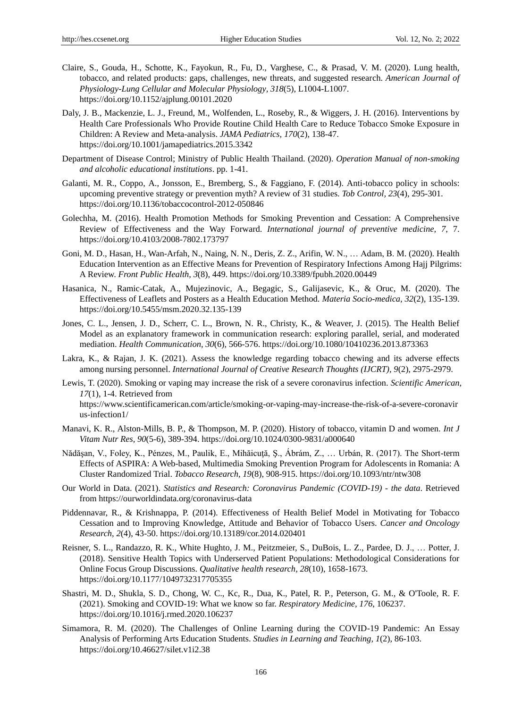- Claire, S., Gouda, H., Schotte, K., Fayokun, R., Fu, D., Varghese, C., & Prasad, V. M. (2020). Lung health, tobacco, and related products: gaps, challenges, new threats, and suggested research. *American Journal of Physiology-Lung Cellular and Molecular Physiology, 318*(5), L1004-L1007. https://doi.org/10.1152/ajplung.00101.2020
- Daly, J. B., Mackenzie, L. J., Freund, M., Wolfenden, L., Roseby, R., & Wiggers, J. H. (2016). Interventions by Health Care Professionals Who Provide Routine Child Health Care to Reduce Tobacco Smoke Exposure in Children: A Review and Meta-analysis. *JAMA Pediatrics, 170*(2), 138-47. https://doi.org/10.1001/jamapediatrics.2015.3342
- Department of Disease Control; Ministry of Public Health Thailand. (2020). *Operation Manual of non-smoking and alcoholic educational institutions*. pp. 1-41.
- Galanti, M. R., Coppo, A., Jonsson, E., Bremberg, S., & Faggiano, F. (2014). Anti-tobacco policy in schools: upcoming preventive strategy or prevention myth? A review of 31 studies. *Tob Control, 23*(4), 295-301. https://doi.org/10.1136/tobaccocontrol-2012-050846
- Golechha, M. (2016). Health Promotion Methods for Smoking Prevention and Cessation: A Comprehensive Review of Effectiveness and the Way Forward. *International journal of preventive medicine, 7*, 7. https://doi.org/10.4103/2008-7802.173797
- Goni, M. D., Hasan, H., Wan-Arfah, N., Naing, N. N., Deris, Z. Z., Arifin, W. N., … Adam, B. M. (2020). Health Education Intervention as an Effective Means for Prevention of Respiratory Infections Among Hajj Pilgrims: A Review. *Front Public Health, 3*(8), 449. https://doi.org/10.3389/fpubh.2020.00449
- Hasanica, N., Ramic-Catak, A., Mujezinovic, A., Begagic, S., Galijasevic, K., & Oruc, M. (2020). The Effectiveness of Leaflets and Posters as a Health Education Method. *Materia Socio-medica, 32*(2), 135-139. https://doi.org/10.5455/msm.2020.32.135-139
- Jones, C. L., Jensen, J. D., Scherr, C. L., Brown, N. R., Christy, K., & Weaver, J. (2015). The Health Belief Model as an explanatory framework in communication research: exploring parallel, serial, and moderated mediation. *Health Communication, 30*(6), 566-576. https://doi.org/10.1080/10410236.2013.873363
- Lakra, K., & Rajan, J. K. (2021). Assess the knowledge regarding tobacco chewing and its adverse effects among nursing personnel. *International Journal of Creative Research Thoughts (IJCRT), 9*(2), 2975-2979.
- Lewis, T. (2020). Smoking or vaping may increase the risk of a severe coronavirus infection. *Scientific American, 17*(1), 1-4. Retrieved from https://www.scientificamerican.com/article/smoking-or-vaping-may-increase-the-risk-of-a-severe-coronavir us-infection1/
- Manavi, K. R., Alston-Mills, B. P., & Thompson, M. P. (2020). History of tobacco, vitamin D and women. *Int J Vitam Nutr Res, 90*(5-6), 389-394. https://doi.org/10.1024/0300-9831/a000640
- Nădăşan, V., Foley, K., Pénzes, M., Paulik, E., Mihăicuţă, Ş., Ábrám, Z., … Urbán, R. (2017). The Short-term Effects of ASPIRA: A Web-based, Multimedia Smoking Prevention Program for Adolescents in Romania: A Cluster Randomized Trial. *Tobacco Research, 19*(8), 908-915. https://doi.org/10.1093/ntr/ntw308
- Our World in Data. (2021). *Statistics and Research: Coronavirus Pandemic (COVID-19) - the data*. Retrieved from https://ourworldindata.org/coronavirus-data
- Piddennavar, R., & Krishnappa, P. (2014). Effectiveness of Health Belief Model in Motivating for Tobacco Cessation and to Improving Knowledge, Attitude and Behavior of Tobacco Users. *Cancer and Oncology Research, 2*(4), 43-50. https://doi.org/10.13189/cor.2014.020401
- Reisner, S. L., Randazzo, R. K., White Hughto, J. M., Peitzmeier, S., DuBois, L. Z., Pardee, D. J., … Potter, J. (2018). Sensitive Health Topics with Underserved Patient Populations: Methodological Considerations for Online Focus Group Discussions. *Qualitative health research, 28*(10), 1658-1673. https://doi.org/10.1177/1049732317705355
- Shastri, M. D., Shukla, S. D., Chong, W. C., Kc, R., Dua, K., Patel, R. P., Peterson, G. M., & O'Toole, R. F. (2021). Smoking and COVID-19: What we know so far. *Respiratory Medicine, 176*, 106237. https://doi.org/10.1016/j.rmed.2020.106237
- Simamora, R. M. (2020). The Challenges of Online Learning during the COVID-19 Pandemic: An Essay Analysis of Performing Arts Education Students. *Studies in Learning and Teaching, 1*(2), 86-103. https://doi.org/10.46627/silet.v1i2.38